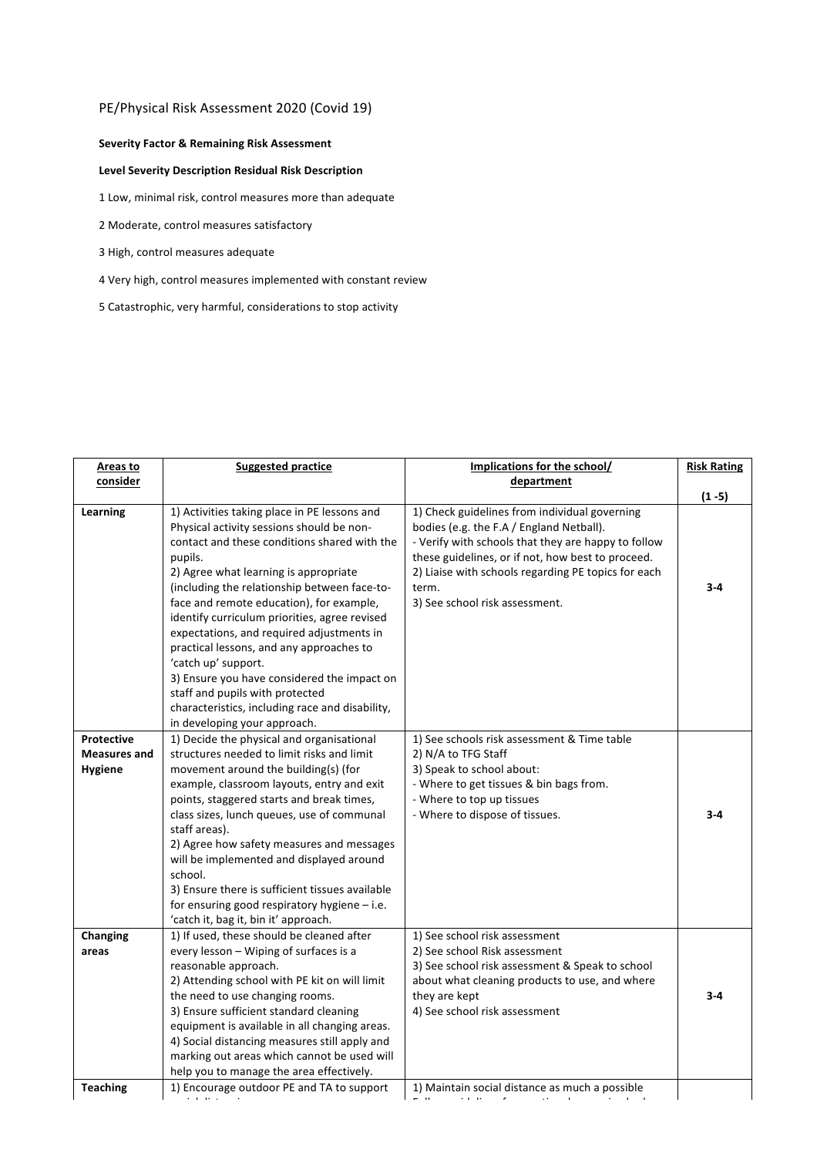## PE/Physical Risk Assessment 2020 (Covid 19)

## **Severity Factor & Remaining Risk Assessment**

## **Level Severity Description Residual Risk Description**

1 Low, minimal risk, control measures more than adequate

- 2 Moderate, control measures satisfactory
- 3 High, control measures adequate
- 4 Very high, control measures implemented with constant review
- 5 Catastrophic, very harmful, considerations to stop activity

| Areas to            | <b>Suggested practice</b>                                                                    | Implications for the school/                        | <b>Risk Rating</b> |
|---------------------|----------------------------------------------------------------------------------------------|-----------------------------------------------------|--------------------|
| consider            |                                                                                              | department                                          |                    |
|                     |                                                                                              |                                                     | $(1 - 5)$          |
| Learning            | 1) Activities taking place in PE lessons and                                                 | 1) Check guidelines from individual governing       |                    |
|                     | Physical activity sessions should be non-                                                    | bodies (e.g. the F.A / England Netball).            |                    |
|                     | contact and these conditions shared with the                                                 | - Verify with schools that they are happy to follow |                    |
|                     | pupils.                                                                                      | these guidelines, or if not, how best to proceed.   |                    |
|                     | 2) Agree what learning is appropriate                                                        | 2) Liaise with schools regarding PE topics for each |                    |
|                     | (including the relationship between face-to-                                                 | term.                                               | $3 - 4$            |
|                     | face and remote education), for example,                                                     | 3) See school risk assessment.                      |                    |
|                     | identify curriculum priorities, agree revised                                                |                                                     |                    |
|                     | expectations, and required adjustments in                                                    |                                                     |                    |
|                     | practical lessons, and any approaches to                                                     |                                                     |                    |
|                     | 'catch up' support.                                                                          |                                                     |                    |
|                     | 3) Ensure you have considered the impact on                                                  |                                                     |                    |
|                     | staff and pupils with protected                                                              |                                                     |                    |
|                     | characteristics, including race and disability,                                              |                                                     |                    |
|                     | in developing your approach.                                                                 |                                                     |                    |
| <b>Protective</b>   | 1) Decide the physical and organisational                                                    | 1) See schools risk assessment & Time table         |                    |
| <b>Measures and</b> | structures needed to limit risks and limit                                                   | 2) N/A to TFG Staff                                 |                    |
| <b>Hygiene</b>      | movement around the building(s) (for                                                         | 3) Speak to school about:                           |                    |
|                     | example, classroom layouts, entry and exit                                                   | - Where to get tissues & bin bags from.             |                    |
|                     | points, staggered starts and break times,                                                    | - Where to top up tissues                           |                    |
|                     | class sizes, lunch queues, use of communal                                                   | - Where to dispose of tissues.                      | $3 - 4$            |
|                     | staff areas).                                                                                |                                                     |                    |
|                     | 2) Agree how safety measures and messages                                                    |                                                     |                    |
|                     | will be implemented and displayed around                                                     |                                                     |                    |
|                     | school.                                                                                      |                                                     |                    |
|                     | 3) Ensure there is sufficient tissues available                                              |                                                     |                    |
|                     | for ensuring good respiratory hygiene $-$ i.e.                                               |                                                     |                    |
|                     | 'catch it, bag it, bin it' approach.                                                         |                                                     |                    |
| Changing            | 1) If used, these should be cleaned after                                                    | 1) See school risk assessment                       |                    |
| areas               | every lesson - Wiping of surfaces is a                                                       | 2) See school Risk assessment                       |                    |
|                     | reasonable approach.                                                                         | 3) See school risk assessment & Speak to school     |                    |
|                     | 2) Attending school with PE kit on will limit                                                | about what cleaning products to use, and where      | $3 - 4$            |
|                     | the need to use changing rooms.                                                              | they are kept                                       |                    |
|                     | 3) Ensure sufficient standard cleaning<br>equipment is available in all changing areas.      | 4) See school risk assessment                       |                    |
|                     |                                                                                              |                                                     |                    |
|                     | 4) Social distancing measures still apply and<br>marking out areas which cannot be used will |                                                     |                    |
|                     | help you to manage the area effectively.                                                     |                                                     |                    |
| <b>Teaching</b>     | 1) Encourage outdoor PE and TA to support                                                    | 1) Maintain social distance as much a possible      |                    |
|                     |                                                                                              |                                                     |                    |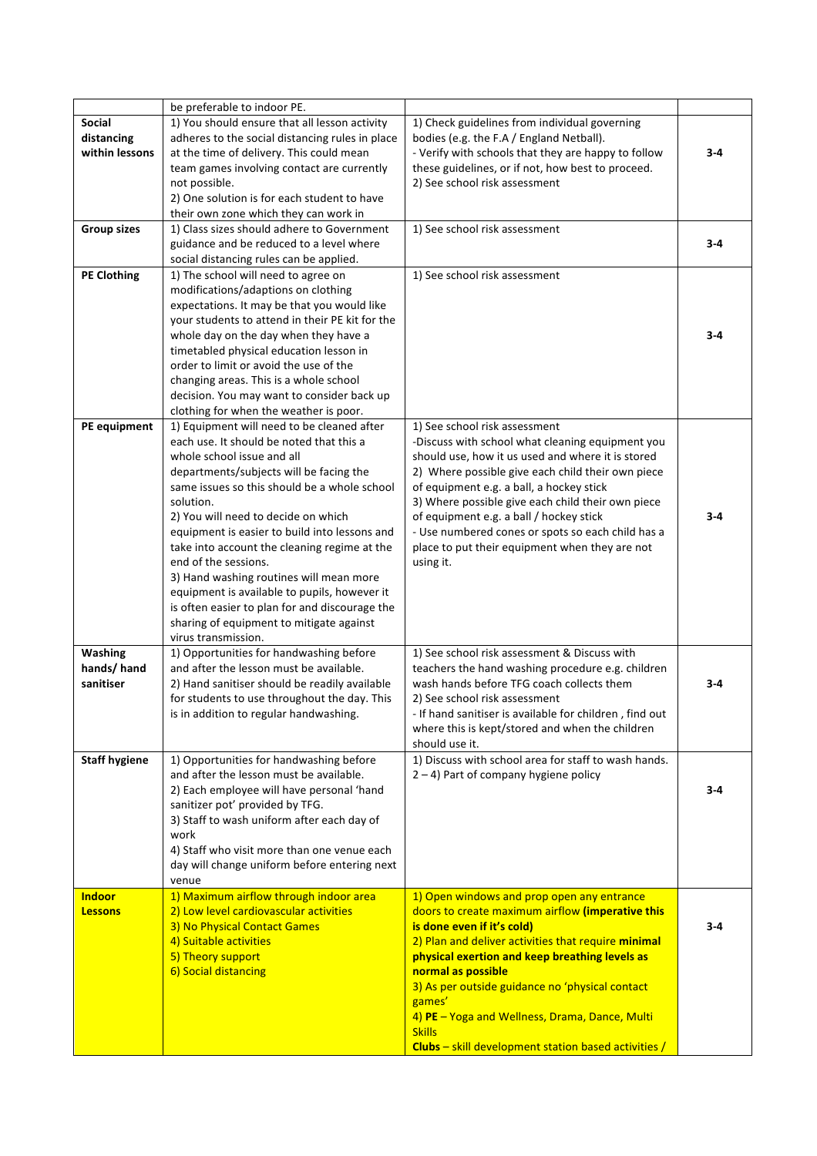|                      | be preferable to indoor PE.                                                                |                                                                      |         |
|----------------------|--------------------------------------------------------------------------------------------|----------------------------------------------------------------------|---------|
| <b>Social</b>        | 1) You should ensure that all lesson activity                                              | 1) Check guidelines from individual governing                        |         |
| distancing           | adheres to the social distancing rules in place                                            | bodies (e.g. the F.A / England Netball).                             |         |
| within lessons       | at the time of delivery. This could mean                                                   | - Verify with schools that they are happy to follow                  | $3 - 4$ |
|                      | team games involving contact are currently                                                 | these guidelines, or if not, how best to proceed.                    |         |
|                      | not possible.                                                                              | 2) See school risk assessment                                        |         |
|                      | 2) One solution is for each student to have                                                |                                                                      |         |
|                      | their own zone which they can work in                                                      |                                                                      |         |
| <b>Group sizes</b>   | 1) Class sizes should adhere to Government                                                 | 1) See school risk assessment                                        |         |
|                      | guidance and be reduced to a level where                                                   |                                                                      | $3 - 4$ |
|                      | social distancing rules can be applied.                                                    |                                                                      |         |
| <b>PE Clothing</b>   | 1) The school will need to agree on                                                        | 1) See school risk assessment                                        |         |
|                      | modifications/adaptions on clothing                                                        |                                                                      |         |
|                      | expectations. It may be that you would like                                                |                                                                      |         |
|                      | your students to attend in their PE kit for the                                            |                                                                      |         |
|                      | whole day on the day when they have a                                                      |                                                                      | $3 - 4$ |
|                      | timetabled physical education lesson in                                                    |                                                                      |         |
|                      | order to limit or avoid the use of the                                                     |                                                                      |         |
|                      | changing areas. This is a whole school                                                     |                                                                      |         |
|                      | decision. You may want to consider back up                                                 |                                                                      |         |
|                      | clothing for when the weather is poor.                                                     |                                                                      |         |
| PE equipment         | 1) Equipment will need to be cleaned after                                                 | 1) See school risk assessment                                        |         |
|                      | each use. It should be noted that this a                                                   | -Discuss with school what cleaning equipment you                     |         |
|                      | whole school issue and all                                                                 | should use, how it us used and where it is stored                    |         |
|                      | departments/subjects will be facing the                                                    | 2) Where possible give each child their own piece                    |         |
|                      | same issues so this should be a whole school                                               | of equipment e.g. a ball, a hockey stick                             |         |
|                      | solution.                                                                                  | 3) Where possible give each child their own piece                    |         |
|                      | 2) You will need to decide on which                                                        | of equipment e.g. a ball / hockey stick                              | $3 - 4$ |
|                      | equipment is easier to build into lessons and                                              | - Use numbered cones or spots so each child has a                    |         |
|                      | take into account the cleaning regime at the                                               | place to put their equipment when they are not                       |         |
|                      | end of the sessions.                                                                       | using it.                                                            |         |
|                      | 3) Hand washing routines will mean more                                                    |                                                                      |         |
|                      | equipment is available to pupils, however it                                               |                                                                      |         |
|                      | is often easier to plan for and discourage the<br>sharing of equipment to mitigate against |                                                                      |         |
|                      | virus transmission.                                                                        |                                                                      |         |
| Washing              | 1) Opportunities for handwashing before                                                    | 1) See school risk assessment & Discuss with                         |         |
| hands/hand           | and after the lesson must be available.                                                    | teachers the hand washing procedure e.g. children                    |         |
| sanitiser            | 2) Hand sanitiser should be readily available                                              | wash hands before TFG coach collects them                            | $3 - 4$ |
|                      | for students to use throughout the day. This                                               | 2) See school risk assessment                                        |         |
|                      | is in addition to regular handwashing.                                                     | If hand sanitiser is available for children, find out                |         |
|                      |                                                                                            | where this is kept/stored and when the children                      |         |
|                      |                                                                                            | should use it.                                                       |         |
| <b>Staff hygiene</b> | 1) Opportunities for handwashing before                                                    | 1) Discuss with school area for staff to wash hands.                 |         |
|                      | and after the lesson must be available.                                                    | $2 - 4$ ) Part of company hygiene policy                             |         |
|                      | 2) Each employee will have personal 'hand                                                  |                                                                      | $3 - 4$ |
|                      | sanitizer pot' provided by TFG.                                                            |                                                                      |         |
|                      | 3) Staff to wash uniform after each day of                                                 |                                                                      |         |
|                      | work                                                                                       |                                                                      |         |
|                      | 4) Staff who visit more than one venue each                                                |                                                                      |         |
|                      | day will change uniform before entering next                                               |                                                                      |         |
|                      | venue                                                                                      |                                                                      |         |
| <b>Indoor</b>        | 1) Maximum airflow through indoor area                                                     | 1) Open windows and prop open any entrance                           |         |
| <b>Lessons</b>       | 2) Low level cardiovascular activities                                                     | doors to create maximum airflow (imperative this                     |         |
|                      | 3) No Physical Contact Games                                                               | is done even if it's cold)                                           | $3 - 4$ |
|                      | 4) Suitable activities                                                                     | 2) Plan and deliver activities that require minimal                  |         |
|                      | 5) Theory support<br>6) Social distancing                                                  | physical exertion and keep breathing levels as<br>normal as possible |         |
|                      |                                                                                            | 3) As per outside guidance no 'physical contact                      |         |
|                      |                                                                                            | games'                                                               |         |
|                      |                                                                                            | 4) PE - Yoga and Wellness, Drama, Dance, Multi                       |         |
|                      |                                                                                            | <b>Skills</b>                                                        |         |
|                      |                                                                                            | Clubs - skill development station based activities /                 |         |